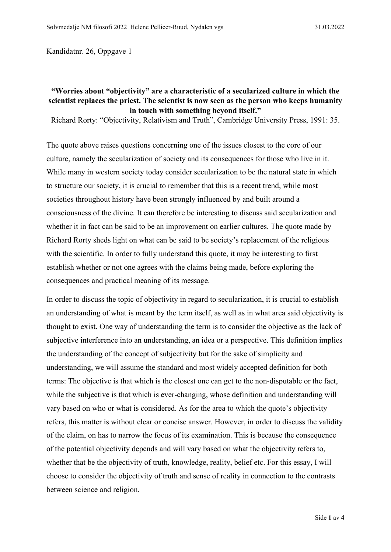Kandidatnr. 26, Oppgave 1

## **"Worries about "objectivity" are a characteristic of a secularized culture in which the scientist replaces the priest. The scientist is now seen as the person who keeps humanity in touch with something beyond itself."**

Richard Rorty: "Objectivity, Relativism and Truth", Cambridge University Press, 1991: 35.

The quote above raises questions concerning one of the issues closest to the core of our culture, namely the secularization of society and its consequences for those who live in it. While many in western society today consider secularization to be the natural state in which to structure our society, it is crucial to remember that this is a recent trend, while most societies throughout history have been strongly influenced by and built around a consciousness of the divine. It can therefore be interesting to discuss said secularization and whether it in fact can be said to be an improvement on earlier cultures. The quote made by Richard Rorty sheds light on what can be said to be society's replacement of the religious with the scientific. In order to fully understand this quote, it may be interesting to first establish whether or not one agrees with the claims being made, before exploring the consequences and practical meaning of its message.

In order to discuss the topic of objectivity in regard to secularization, it is crucial to establish an understanding of what is meant by the term itself, as well as in what area said objectivity is thought to exist. One way of understanding the term is to consider the objective as the lack of subjective interference into an understanding, an idea or a perspective. This definition implies the understanding of the concept of subjectivity but for the sake of simplicity and understanding, we will assume the standard and most widely accepted definition for both terms: The objective is that which is the closest one can get to the non-disputable or the fact, while the subjective is that which is ever-changing, whose definition and understanding will vary based on who or what is considered. As for the area to which the quote's objectivity refers, this matter is without clear or concise answer. However, in order to discuss the validity of the claim, on has to narrow the focus of its examination. This is because the consequence of the potential objectivity depends and will vary based on what the objectivity refers to, whether that be the objectivity of truth, knowledge, reality, belief etc. For this essay, I will choose to consider the objectivity of truth and sense of reality in connection to the contrasts between science and religion.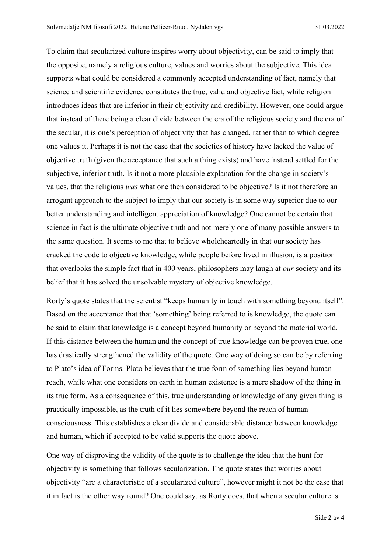To claim that secularized culture inspires worry about objectivity, can be said to imply that the opposite, namely a religious culture, values and worries about the subjective. This idea supports what could be considered a commonly accepted understanding of fact, namely that science and scientific evidence constitutes the true, valid and objective fact, while religion introduces ideas that are inferior in their objectivity and credibility. However, one could argue that instead of there being a clear divide between the era of the religious society and the era of the secular, it is one's perception of objectivity that has changed, rather than to which degree one values it. Perhaps it is not the case that the societies of history have lacked the value of objective truth (given the acceptance that such a thing exists) and have instead settled for the subjective, inferior truth. Is it not a more plausible explanation for the change in society's values, that the religious *was* what one then considered to be objective? Is it not therefore an arrogant approach to the subject to imply that our society is in some way superior due to our better understanding and intelligent appreciation of knowledge? One cannot be certain that science in fact is the ultimate objective truth and not merely one of many possible answers to the same question. It seems to me that to believe wholeheartedly in that our society has cracked the code to objective knowledge, while people before lived in illusion, is a position that overlooks the simple fact that in 400 years, philosophers may laugh at *our* society and its belief that it has solved the unsolvable mystery of objective knowledge.

Rorty's quote states that the scientist "keeps humanity in touch with something beyond itself". Based on the acceptance that that 'something' being referred to is knowledge, the quote can be said to claim that knowledge is a concept beyond humanity or beyond the material world. If this distance between the human and the concept of true knowledge can be proven true, one has drastically strengthened the validity of the quote. One way of doing so can be by referring to Plato's idea of Forms. Plato believes that the true form of something lies beyond human reach, while what one considers on earth in human existence is a mere shadow of the thing in its true form. As a consequence of this, true understanding or knowledge of any given thing is practically impossible, as the truth of it lies somewhere beyond the reach of human consciousness. This establishes a clear divide and considerable distance between knowledge and human, which if accepted to be valid supports the quote above.

One way of disproving the validity of the quote is to challenge the idea that the hunt for objectivity is something that follows secularization. The quote states that worries about objectivity "are a characteristic of a secularized culture", however might it not be the case that it in fact is the other way round? One could say, as Rorty does, that when a secular culture is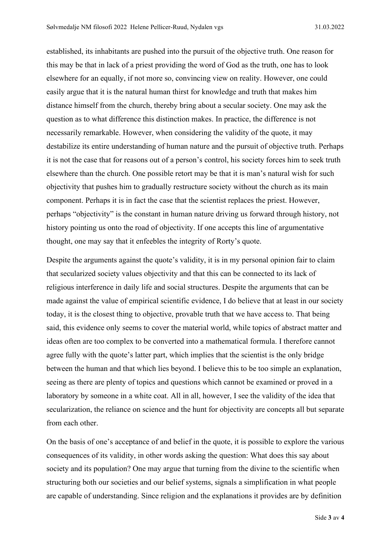established, its inhabitants are pushed into the pursuit of the objective truth. One reason for this may be that in lack of a priest providing the word of God as the truth, one has to look elsewhere for an equally, if not more so, convincing view on reality. However, one could easily argue that it is the natural human thirst for knowledge and truth that makes him distance himself from the church, thereby bring about a secular society. One may ask the question as to what difference this distinction makes. In practice, the difference is not necessarily remarkable. However, when considering the validity of the quote, it may destabilize its entire understanding of human nature and the pursuit of objective truth. Perhaps it is not the case that for reasons out of a person's control, his society forces him to seek truth elsewhere than the church. One possible retort may be that it is man's natural wish for such objectivity that pushes him to gradually restructure society without the church as its main component. Perhaps it is in fact the case that the scientist replaces the priest. However, perhaps "objectivity" is the constant in human nature driving us forward through history, not history pointing us onto the road of objectivity. If one accepts this line of argumentative thought, one may say that it enfeebles the integrity of Rorty's quote.

Despite the arguments against the quote's validity, it is in my personal opinion fair to claim that secularized society values objectivity and that this can be connected to its lack of religious interference in daily life and social structures. Despite the arguments that can be made against the value of empirical scientific evidence, I do believe that at least in our society today, it is the closest thing to objective, provable truth that we have access to. That being said, this evidence only seems to cover the material world, while topics of abstract matter and ideas often are too complex to be converted into a mathematical formula. I therefore cannot agree fully with the quote's latter part, which implies that the scientist is the only bridge between the human and that which lies beyond. I believe this to be too simple an explanation, seeing as there are plenty of topics and questions which cannot be examined or proved in a laboratory by someone in a white coat. All in all, however, I see the validity of the idea that secularization, the reliance on science and the hunt for objectivity are concepts all but separate from each other.

On the basis of one's acceptance of and belief in the quote, it is possible to explore the various consequences of its validity, in other words asking the question: What does this say about society and its population? One may argue that turning from the divine to the scientific when structuring both our societies and our belief systems, signals a simplification in what people are capable of understanding. Since religion and the explanations it provides are by definition